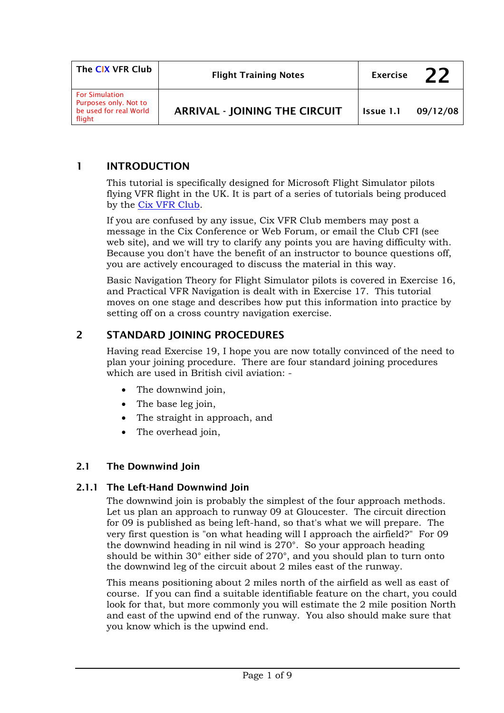| The CIX VFR Club                                                                   | <b>Flight Training Notes</b>         | <b>Exercise</b> | 22       |
|------------------------------------------------------------------------------------|--------------------------------------|-----------------|----------|
| <b>For Simulation</b><br>Purposes only. Not to<br>be used for real World<br>flight | <b>ARRIVAL - JOINING THE CIRCUIT</b> | Issue 1.1       | 09/12/08 |

### 1 INTRODUCTION

This tutorial is specifically designed for Microsoft Flight Simulator pilots flying VFR flight in the UK. It is part of a series of tutorials being produced by the [Cix VFR Club.](http://www.cixvfrclub.org.uk/)

If you are confused by any issue, Cix VFR Club members may post a message in the Cix Conference or Web Forum, or email the Club CFI (see web site), and we will try to clarify any points you are having difficulty with. Because you don't have the benefit of an instructor to bounce questions off, you are actively encouraged to discuss the material in this way.

Basic Navigation Theory for Flight Simulator pilots is covered in Exercise 16, and Practical VFR Navigation is dealt with in Exercise 17. This tutorial moves on one stage and describes how put this information into practice by setting off on a cross country navigation exercise.

# 2 STANDARD JOINING PROCEDURES

Having read Exercise 19, I hope you are now totally convinced of the need to plan your joining procedure. There are four standard joining procedures which are used in British civil aviation: -

- The downwind join,
- The base leg join,
- The straight in approach, and
- The overhead join,

#### 2.1 The Downwind Join

#### 2.1.1 The Left-Hand Downwind Join

The downwind join is probably the simplest of the four approach methods. Let us plan an approach to runway 09 at Gloucester. The circuit direction for 09 is published as being left-hand, so that's what we will prepare. The very first question is "on what heading will I approach the airfield?" For 09 the downwind heading in nil wind is 270°. So your approach heading should be within 30° either side of 270°, and you should plan to turn onto the downwind leg of the circuit about 2 miles east of the runway.

This means positioning about 2 miles north of the airfield as well as east of course. If you can find a suitable identifiable feature on the chart, you could look for that, but more commonly you will estimate the 2 mile position North and east of the upwind end of the runway. You also should make sure that you know which is the upwind end.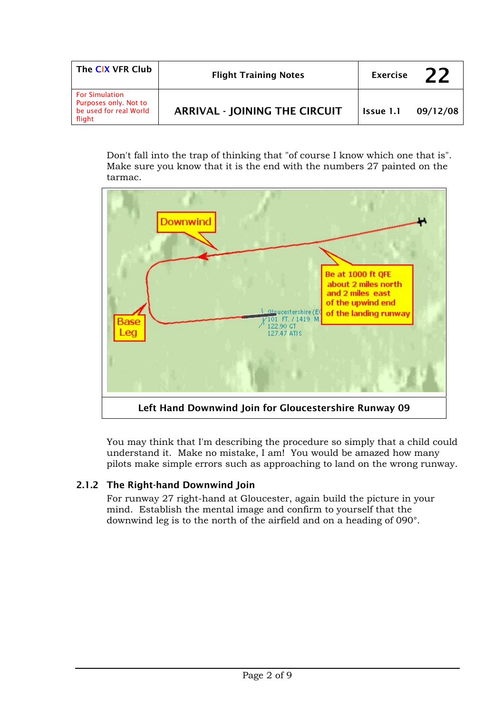| The CIX VFR Club                                                                   | <b>Flight Training Notes</b>         | <b>Exercise</b> | フフ       |
|------------------------------------------------------------------------------------|--------------------------------------|-----------------|----------|
| <b>For Simulation</b><br>Purposes only. Not to<br>be used for real World<br>flight | <b>ARRIVAL - JOINING THE CIRCUIT</b> | Issue 1.1       | 09/12/08 |

Don't fall into the trap of thinking that "of course I know which one that is". Make sure you know that it is the end with the numbers 27 painted on the tarmac.



You may think that I'm describing the procedure so simply that a child could understand it. Make no mistake, I am! You would be amazed how many pilots make simple errors such as approaching to land on the wrong runway.

# 2.1.2 The Right-hand Downwind Join

For runway 27 right-hand at Gloucester, again build the picture in your mind. Establish the mental image and confirm to yourself that the downwind leg is to the north of the airfield and on a heading of 090°.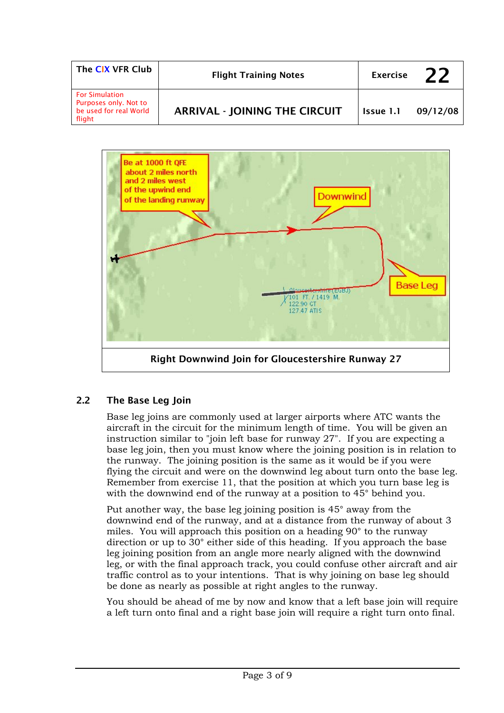| The CIX VFR Club                                                                   | <b>Flight Training Notes</b>         | <b>Exercise</b> |          |
|------------------------------------------------------------------------------------|--------------------------------------|-----------------|----------|
| <b>For Simulation</b><br>Purposes only. Not to<br>be used for real World<br>flight | <b>ARRIVAL - JOINING THE CIRCUIT</b> | Issue 1.1       | 09/12/08 |



# 2.2 The Base Leg Join

Base leg joins are commonly used at larger airports where ATC wants the aircraft in the circuit for the minimum length of time. You will be given an instruction similar to "join left base for runway 27". If you are expecting a base leg join, then you must know where the joining position is in relation to the runway. The joining position is the same as it would be if you were flying the circuit and were on the downwind leg about turn onto the base leg. Remember from exercise 11, that the position at which you turn base leg is with the downwind end of the runway at a position to 45° behind you.

Put another way, the base leg joining position is 45° away from the downwind end of the runway, and at a distance from the runway of about 3 miles. You will approach this position on a heading 90° to the runway direction or up to 30° either side of this heading. If you approach the base leg joining position from an angle more nearly aligned with the downwind leg, or with the final approach track, you could confuse other aircraft and air traffic control as to your intentions. That is why joining on base leg should be done as nearly as possible at right angles to the runway.

You should be ahead of me by now and know that a left base join will require a left turn onto final and a right base join will require a right turn onto final.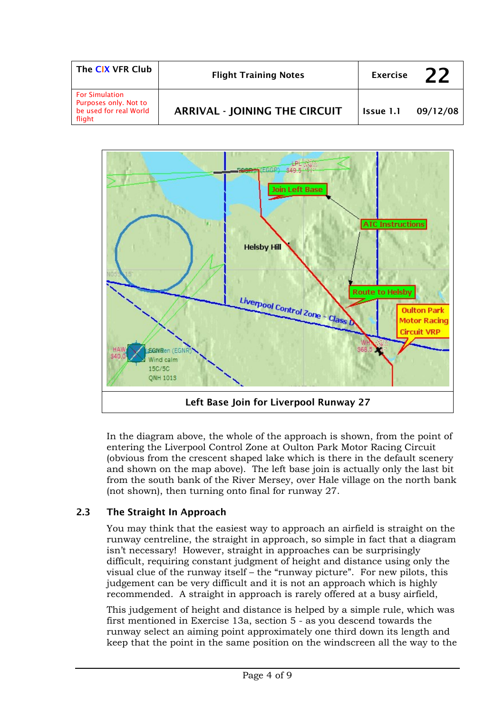| The CIX VFR Club                                                                   | <b>Flight Training Notes</b>         | <b>Exercise</b> | <b>22</b> |
|------------------------------------------------------------------------------------|--------------------------------------|-----------------|-----------|
| <b>For Simulation</b><br>Purposes only. Not to<br>be used for real World<br>flight | <b>ARRIVAL - JOINING THE CIRCUIT</b> | Issue 1.1       | 09/12/08  |



In the diagram above, the whole of the approach is shown, from the point of entering the Liverpool Control Zone at Oulton Park Motor Racing Circuit (obvious from the crescent shaped lake which is there in the default scenery and shown on the map above). The left base join is actually only the last bit from the south bank of the River Mersey, over Hale village on the north bank (not shown), then turning onto final for runway 27.

# 2.3 The Straight In Approach

You may think that the easiest way to approach an airfield is straight on the runway centreline, the straight in approach, so simple in fact that a diagram isn't necessary! However, straight in approaches can be surprisingly difficult, requiring constant judgment of height and distance using only the visual clue of the runway itself – the "runway picture". For new pilots, this judgement can be very difficult and it is not an approach which is highly recommended. A straight in approach is rarely offered at a busy airfield,

This judgement of height and distance is helped by a simple rule, which was first mentioned in Exercise 13a, section 5 - as you descend towards the runway select an aiming point approximately one third down its length and keep that the point in the same position on the windscreen all the way to the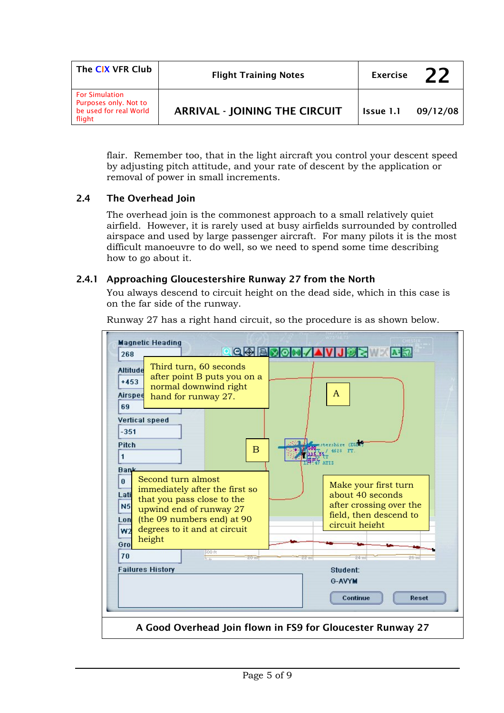| The CIX VFR Club                                                                   | <b>Flight Training Notes</b>         | <b>Exercise</b> |          |
|------------------------------------------------------------------------------------|--------------------------------------|-----------------|----------|
| <b>For Simulation</b><br>Purposes only. Not to<br>be used for real World<br>flight | <b>ARRIVAL - JOINING THE CIRCUIT</b> | Issue 1.1       | 09/12/08 |

flair. Remember too, that in the light aircraft you control your descent speed by adjusting pitch attitude, and your rate of descent by the application or removal of power in small increments.

#### 2.4 The Overhead Join

The overhead join is the commonest approach to a small relatively quiet airfield. However, it is rarely used at busy airfields surrounded by controlled airspace and used by large passenger aircraft. For many pilots it is the most difficult manoeuvre to do well, so we need to spend some time describing how to go about it.

#### 2.4.1 Approaching Gloucestershire Runway 27 from the North

You always descend to circuit height on the dead side, which in this case is on the far side of the runway.

| 268                                                                                         | <b>Magnetic Heading</b>                                                                                                                                                               | $Q \otimes B$ | A <sub>2</sub>                                                                                                  |
|---------------------------------------------------------------------------------------------|---------------------------------------------------------------------------------------------------------------------------------------------------------------------------------------|---------------|-----------------------------------------------------------------------------------------------------------------|
| <b>Altitude</b><br>$+453$<br>Airspee<br>69<br><b>Vertical speed</b><br>$-351$<br>Pitch<br>1 | Third turn, 60 seconds<br>after point B puts you on a<br>normal downwind right<br>hand for runway 27.<br>$\overline{B}$                                                               | A<br>4628     | FT                                                                                                              |
| <b>Bank</b><br>$\mathbf{0}$<br>Lati<br>N <sub>5</sub><br>Lon<br>W <sub>2</sub><br>Gro       | Second turn almost<br>immediately after the first so<br>that you pass close to the<br>upwind end of runway 27<br>(the 09 numbers end) at 90<br>degrees to it and at circuit<br>height |               | Make your first turn<br>about 40 seconds<br>after crossing over the<br>field, then descend to<br>circuit height |
| 70                                                                                          | 500 ft<br>$20 \text{ m}$<br>hn                                                                                                                                                        | 22 mi         | $26 \text{ mi}$                                                                                                 |
|                                                                                             | <b>Failures History</b>                                                                                                                                                               | G-AVYM        | Student:<br>Continue<br>Reset                                                                                   |
|                                                                                             | A Good Overhead Join flown in FS9 for Gloucester Runway 27                                                                                                                            |               |                                                                                                                 |

Runway 27 has a right hand circuit, so the procedure is as shown below.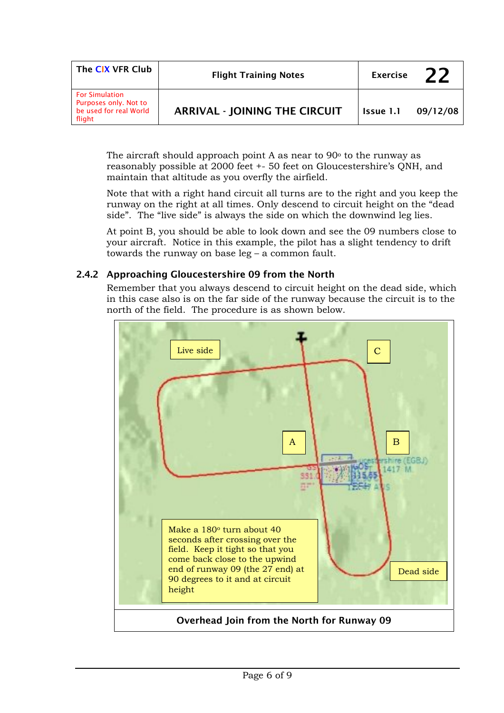| The CIX VFR Club                                                                   | <b>Flight Training Notes</b>         | <b>Exercise</b> | 22       |
|------------------------------------------------------------------------------------|--------------------------------------|-----------------|----------|
| <b>For Simulation</b><br>Purposes only. Not to<br>be used for real World<br>flight | <b>ARRIVAL - JOINING THE CIRCUIT</b> | Issue 1.1       | 09/12/08 |

The aircraft should approach point A as near to  $90^\circ$  to the runway as reasonably possible at 2000 feet +- 50 feet on Gloucestershire's QNH, and maintain that altitude as you overfly the airfield.

Note that with a right hand circuit all turns are to the right and you keep the runway on the right at all times. Only descend to circuit height on the "dead side". The "live side" is always the side on which the downwind leg lies.

At point B, you should be able to look down and see the 09 numbers close to your aircraft. Notice in this example, the pilot has a slight tendency to drift towards the runway on base leg – a common fault.

### 2.4.2 Approaching Gloucestershire 09 from the North

Remember that you always descend to circuit height on the dead side, which in this case also is on the far side of the runway because the circuit is to the north of the field. The procedure is as shown below.

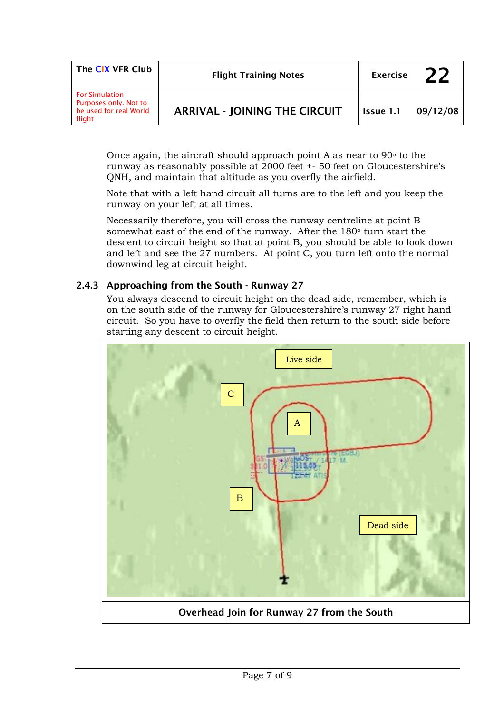| The CIX VFR Club                                                                   | <b>Flight Training Notes</b><br><b>Exercise</b> |           | 22       |
|------------------------------------------------------------------------------------|-------------------------------------------------|-----------|----------|
| <b>For Simulation</b><br>Purposes only. Not to<br>be used for real World<br>flight | <b>ARRIVAL - JOINING THE CIRCUIT</b>            | Issue 1.1 | 09/12/08 |

Once again, the aircraft should approach point A as near to  $90^{\circ}$  to the runway as reasonably possible at 2000 feet +- 50 feet on Gloucestershire's QNH, and maintain that altitude as you overfly the airfield.

Note that with a left hand circuit all turns are to the left and you keep the runway on your left at all times.

Necessarily therefore, you will cross the runway centreline at point B somewhat east of the end of the runway. After the 180o turn start the descent to circuit height so that at point B, you should be able to look down and left and see the 27 numbers. At point C, you turn left onto the normal downwind leg at circuit height.

### 2.4.3 Approaching from the South - Runway 27

You always descend to circuit height on the dead side, remember, which is on the south side of the runway for Gloucestershire's runway 27 right hand circuit. So you have to overfly the field then return to the south side before starting any descent to circuit height.

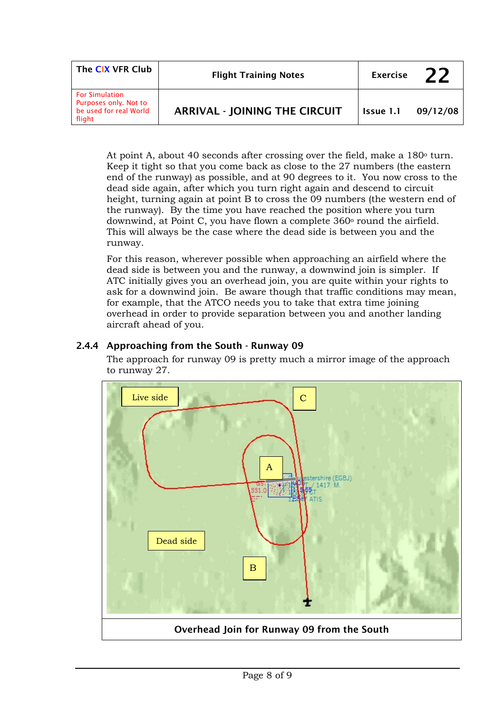| The CIX VFR Club                                                                   | <b>Flight Training Notes</b>         | <b>Exercise</b> | 22       |
|------------------------------------------------------------------------------------|--------------------------------------|-----------------|----------|
| <b>For Simulation</b><br>Purposes only. Not to<br>be used for real World<br>flight | <b>ARRIVAL - JOINING THE CIRCUIT</b> | Issue 1.1       | 09/12/08 |

At point A, about 40 seconds after crossing over the field, make a  $180^{\circ}$  turn. Keep it tight so that you come back as close to the 27 numbers (the eastern end of the runway) as possible, and at 90 degrees to it. You now cross to the dead side again, after which you turn right again and descend to circuit height, turning again at point B to cross the 09 numbers (the western end of the runway). By the time you have reached the position where you turn downwind, at Point C, you have flown a complete  $360^{\circ}$  round the airfield. This will always be the case where the dead side is between you and the runway.

For this reason, wherever possible when approaching an airfield where the dead side is between you and the runway, a downwind join is simpler. If ATC initially gives you an overhead join, you are quite within your rights to ask for a downwind join. Be aware though that traffic conditions may mean, for example, that the ATCO needs you to take that extra time joining overhead in order to provide separation between you and another landing aircraft ahead of you.

# 2.4.4 Approaching from the South - Runway 09

The approach for runway 09 is pretty much a mirror image of the approach to runway 27.